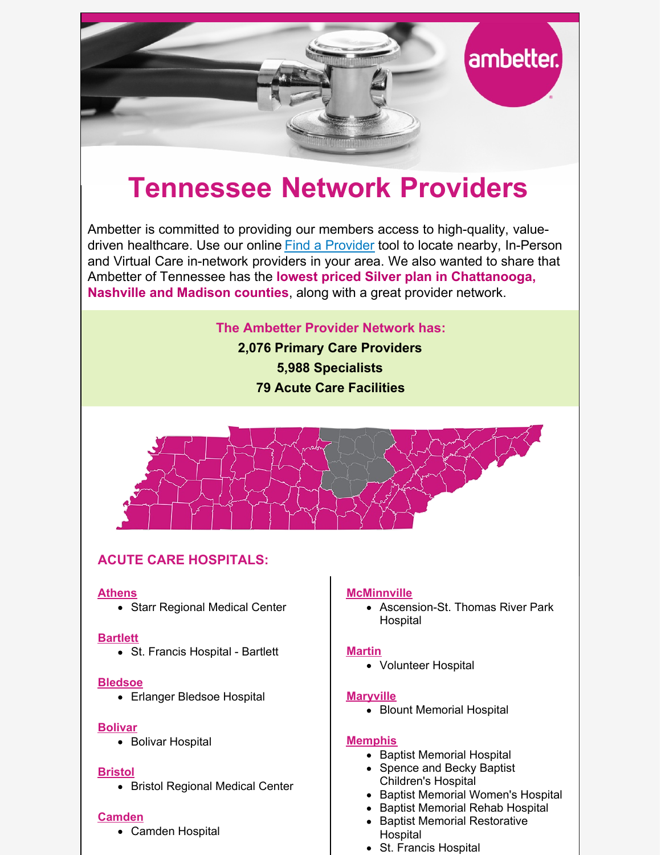

# **Tennessee Network Providers**

Ambetter is committed to providing our members access to high-quality, valuedriven healthcare. Use our online [Find a Provider](http://guide.ambetterhealth.com/) tool to locate nearby, In-Person and Virtual Care in-network providers in your area. We also wanted to share that Ambetter of Tennessee has the **lowest priced Silver plan in Chattanooga, Nashville and Madison counties**, along with a great provider network.

**The Ambetter Provider Network has:**

**2,076 Primary Care Providers 5,988 Specialists 79 Acute Care Facilities**



# **ACUTE CARE HOSPITALS:**

# **Athens**

• Starr Regional Medical Center

# **Bartlett**

St. Francis Hospital - Bartlett

# **Bledsoe**

• Erlanger Bledsoe Hospital

# **Bolivar**

• Bolivar Hospital

# **Bristol**

• Bristol Regional Medical Center

# **Camden**

Camden Hospital

# **McMinnville**

• Ascension-St. Thomas River Park Hospital

# **Martin**

Volunteer Hospital

# **Maryville**

• Blount Memorial Hospital

# **Memphis**

- Baptist Memorial Hospital
- Spence and Becky Baptist Children's Hospital
- Baptist Memorial Women's Hospital
- Baptist Memorial Rehab Hospital
- Baptist Memorial Restorative Hospital
- St. Francis Hospital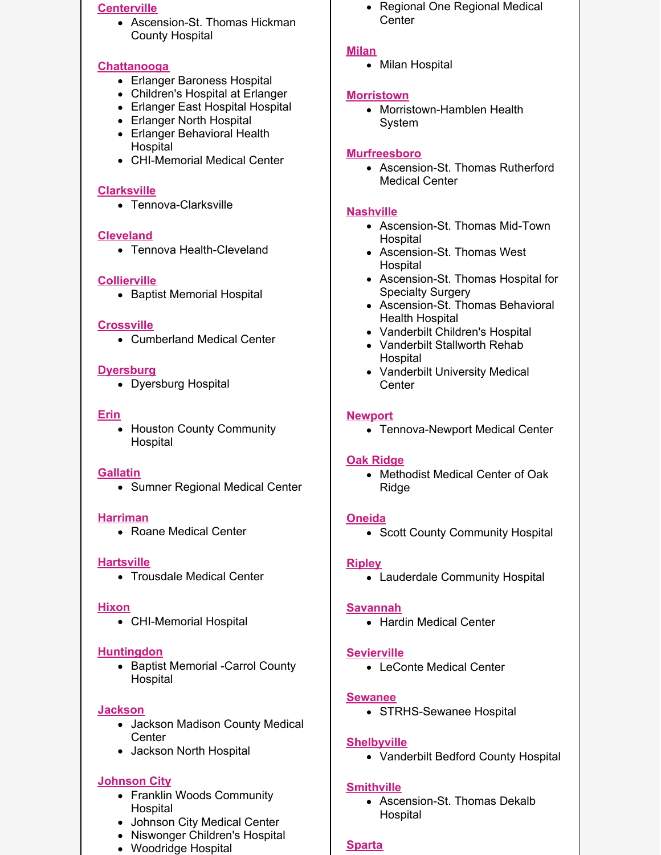#### **Centerville**

Ascension-St. Thomas Hickman County Hospital

## **Chattanooga**

- Erlanger Baroness Hospital
- Children's Hospital at Erlanger
- Erlanger East Hospital Hospital
- Erlanger North Hospital
- Erlanger Behavioral Health Hospital
- CHI-Memorial Medical Center

## **Clarksville**

• Tennova-Clarksville

## **Cleveland**

Tennova Health-Cleveland

## **Collierville**

• Baptist Memorial Hospital

#### **Crossville**

Cumberland Medical Center

## **Dyersburg**

• Dyersburg Hospital

#### **Erin**

Houston County Community Hospital

#### **Gallatin**

• Sumner Regional Medical Center

#### **Harriman**

• Roane Medical Center

# **Hartsville**

Trousdale Medical Center

#### **Hixon**

CHI-Memorial Hospital

#### **Huntingdon**

• Baptist Memorial -Carrol County Hospital

# **Jackson**

- Jackson Madison County Medical **Center**
- Jackson North Hospital

# **Johnson City**

- Franklin Woods Community **Hospital**
- Johnson City Medical Center
- Niswonger Children's Hospital
- Woodridge Hospital

• Regional One Regional Medical Center

## **Milan**

• Milan Hospital

#### **Morristown**

• Morristown-Hamblen Health System

# **Murfreesboro**

• Ascension-St. Thomas Rutherford Medical Center

## **Nashville**

- Ascension-St. Thomas Mid-Town **Hospital**
- Ascension-St. Thomas West Hospital
- Ascension-St. Thomas Hospital for Specialty Surgery
- Ascension-St. Thomas Behavioral Health Hospital
- Vanderbilt Children's Hospital
- Vanderbilt Stallworth Rehab Hospital
- Vanderbilt University Medical **Center**

## **Newport**

• Tennova-Newport Medical Center

#### **Oak Ridge**

• Methodist Medical Center of Oak Ridge

#### **Oneida**

• Scott County Community Hospital

# **Ripley**

Lauderdale Community Hospital

#### **Savannah**

• Hardin Medical Center

# **Sevierville**

LeConte Medical Center

#### **Sewanee**

• STRHS-Sewanee Hospital

# **Shelbyville**

Vanderbilt Bedford County Hospital

# **Smithville**

Ascension-St. Thomas Dekalb Hospital

# **Sparta**